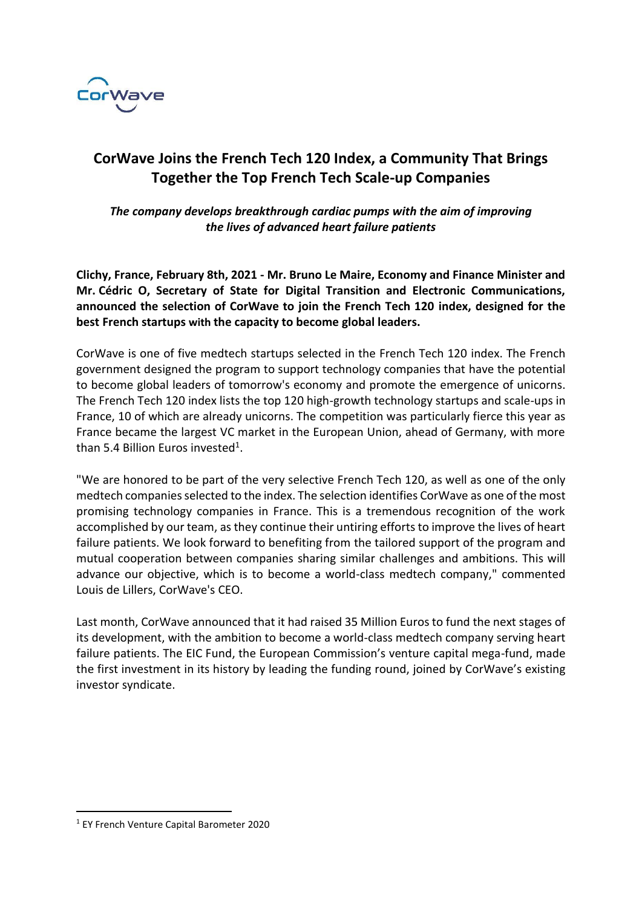

## **CorWave Joins the French Tech 120 Index, a Community That Brings Together the Top French Tech Scale-up Companies**

*The company develops breakthrough cardiac pumps with the aim of improving the lives of advanced heart failure patients*

**Clichy, France, February 8th, 2021 - Mr. Bruno Le Maire, Economy and Finance Minister and Mr. Cédric O, Secretary of State for Digital Transition and Electronic Communications, announced the selection of CorWave to join the French Tech 120 index, designed for the best French startups with the capacity to become global leaders.** 

CorWave is one of five medtech startups selected in the French Tech 120 index. The French government designed the program to support technology companies that have the potential to become global leaders of tomorrow's economy and promote the emergence of unicorns. The French Tech 120 index lists the top 120 high-growth technology startups and scale-ups in France, 10 of which are already unicorns. The competition was particularly fierce this year as France became the largest VC market in the European Union, ahead of Germany, with more than 5.4 Billion Euros invested<sup>1</sup>.

"We are honored to be part of the very selective French Tech 120, as well as one of the only medtech companies selected to the index. The selection identifies CorWave as one of the most promising technology companies in France. This is a tremendous recognition of the work accomplished by our team, as they continue their untiring efforts to improve the lives of heart failure patients. We look forward to benefiting from the tailored support of the program and mutual cooperation between companies sharing similar challenges and ambitions. This will advance our objective, which is to become a world-class medtech company," commented Louis de Lillers, CorWave's CEO.

Last month, CorWave announced that it had raised 35 Million Euros to fund the next stages of its development, with the ambition to become a world-class medtech company serving heart failure patients. The EIC Fund, the European Commission's venture capital mega-fund, made the first investment in its history by leading the funding round, joined by CorWave's existing investor syndicate.

<sup>1</sup> EY French Venture Capital Barometer 2020